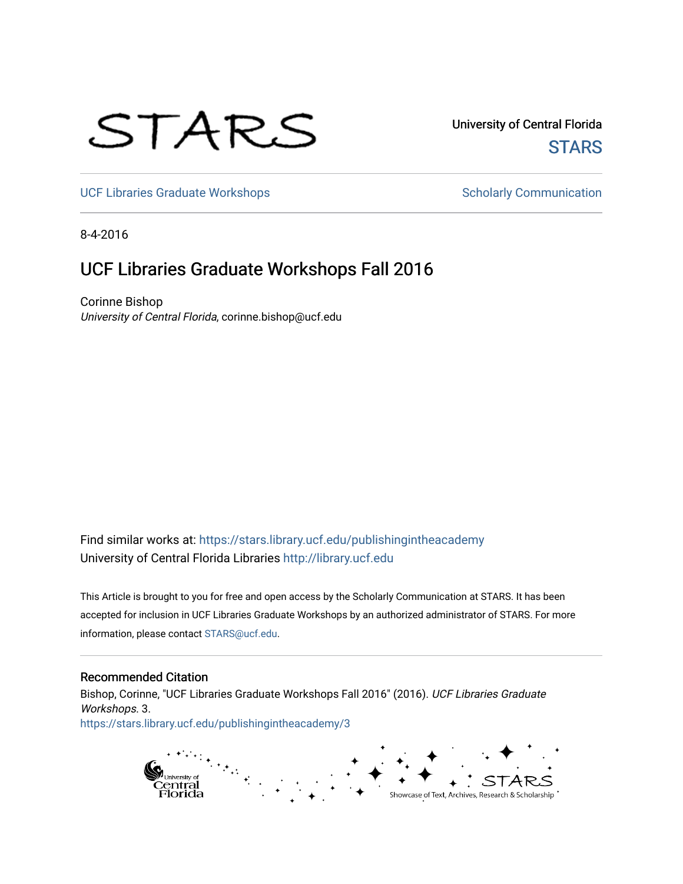# STARS

University of Central Florida **STARS** 

[UCF Libraries Graduate Workshops](https://stars.library.ucf.edu/publishingintheacademy) **Scholarly Communication** Scholarly Communication

8-4-2016

# UCF Libraries Graduate Workshops Fall 2016

Corinne Bishop University of Central Florida, corinne.bishop@ucf.edu

Find similar works at: <https://stars.library.ucf.edu/publishingintheacademy> University of Central Florida Libraries [http://library.ucf.edu](http://library.ucf.edu/) 

This Article is brought to you for free and open access by the Scholarly Communication at STARS. It has been accepted for inclusion in UCF Libraries Graduate Workshops by an authorized administrator of STARS. For more information, please contact [STARS@ucf.edu.](mailto:STARS@ucf.edu)

# Recommended Citation

Bishop, Corinne, "UCF Libraries Graduate Workshops Fall 2016" (2016). UCF Libraries Graduate Workshops. 3. [https://stars.library.ucf.edu/publishingintheacademy/3](https://stars.library.ucf.edu/publishingintheacademy/3?utm_source=stars.library.ucf.edu%2Fpublishingintheacademy%2F3&utm_medium=PDF&utm_campaign=PDFCoverPages)

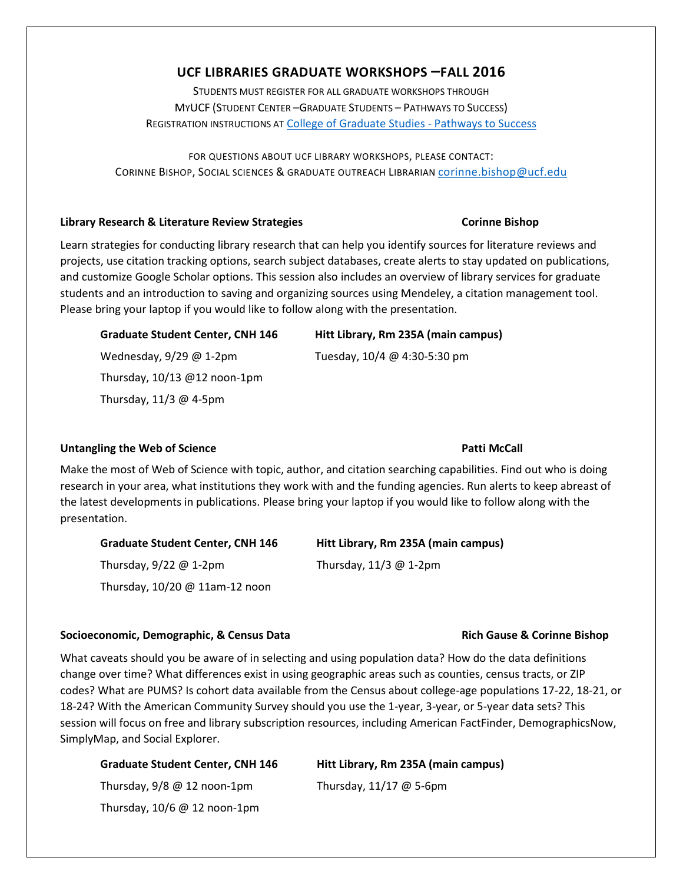# **UCF LIBRARIES GRADUATE WORKSHOPS –FALL 2016**

STUDENTS MUST REGISTER FOR ALL GRADUATE WORKSHOPS THROUGH MYUCF (STUDENT CENTER –GRADUATE STUDENTS – PATHWAYS TO SUCCESS) REGISTRATION INSTRUCTIONS AT [College of Graduate Studies -](http://www.students.graduate.ucf.edu/Pathways/) Pathways to Success

FOR QUESTIONS ABOUT UCF LIBRARY WORKSHOPS, PLEASE CONTACT: CORINNE BISHOP, SOCIAL SCIENCES & GRADUATE OUTREACH LIBRARIAN [corinne.bishop@ucf.edu](mailto:corinne.bishop@ucf.edu)

# **Library Research & Literature Review Strategies Corinne Bishop**

Learn strategies for conducting library research that can help you identify sources for literature reviews and projects, use citation tracking options, search subject databases, create alerts to stay updated on publications, and customize Google Scholar options. This session also includes an overview of library services for graduate students and an introduction to saving and organizing sources using Mendeley, a citation management tool. Please bring your laptop if you would like to follow along with the presentation.

# **Graduate Student Center, CNH 146 Hitt Library, Rm 235A (main campus)** Wednesday, 9/29 @ 1-2pm Tuesday, 10/4 @ 4:30-5:30 pm Thursday, 10/13 @12 noon-1pm Thursday, 11/3 @ 4-5pm

# Untangling the Web of Science **Patti McCall**

Make the most of Web of Science with topic, author, and citation searching capabilities. Find out who is doing research in your area, what institutions they work with and the funding agencies. Run alerts to keep abreast of the latest developments in publications. Please bring your laptop if you would like to follow along with the presentation.

**Graduate Student Center, CNH 146 Hitt Library, Rm 235A (main campus)** Thursday, 9/22 @ 1-2pm Thursday, 11/3 @ 1-2pm Thursday, 10/20 @ 11am-12 noon

# **Socioeconomic, Demographic, & Census Data Rich Gause & Corinne Bishop**

What caveats should you be aware of in selecting and using population data? How do the data definitions change over time? What differences exist in using geographic areas such as counties, census tracts, or ZIP codes? What are PUMS? Is cohort data available from the Census about college-age populations 17-22, 18-21, or 18-24? With the American Community Survey should you use the 1-year, 3-year, or 5-year data sets? This session will focus on free and library subscription resources, including American FactFinder, DemographicsNow, SimplyMap, and Social Explorer.

**Graduate Student Center, CNH 146 Hitt Library, Rm 235A (main campus)** Thursday,  $9/8$  @ 12 noon-1pm Thursday,  $11/17$  @ 5-6pm Thursday, 10/6 @ 12 noon-1pm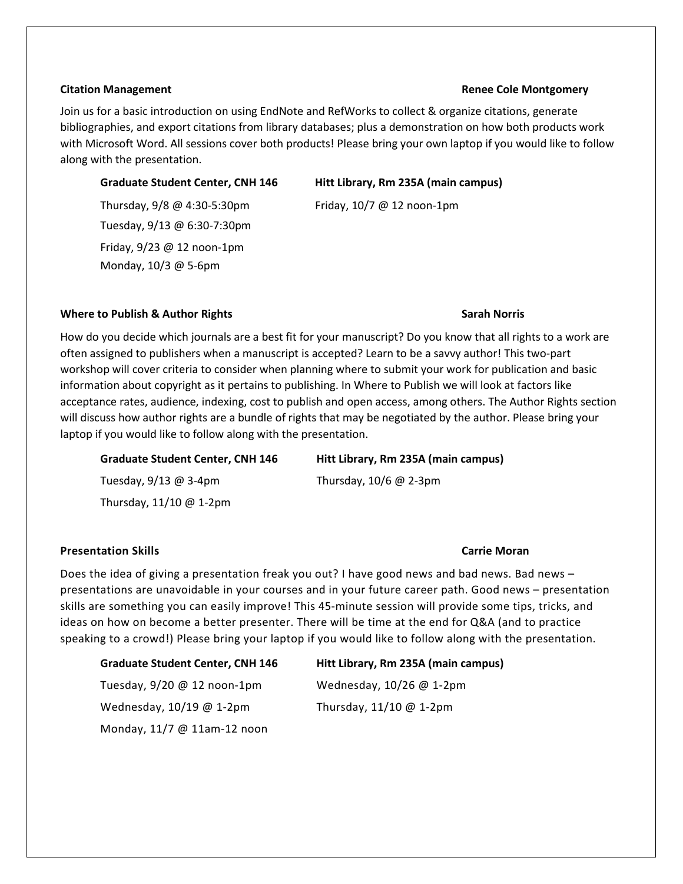### **Citation Management Renee Cole Montgomery**

Join us for a basic introduction on using EndNote and RefWorks to collect & organize citations, generate bibliographies, and export citations from library databases; plus a demonstration on how both products work with Microsoft Word. All sessions cover both products! Please bring your own laptop if you would like to follow along with the presentation.

Tuesday, 9/13 @ 6:30-7:30pm Friday, 9/23 @ 12 noon-1pm Monday, 10/3 @ 5-6pm

**Graduate Student Center, CNH 146 Hitt Library, Rm 235A (main campus)**

Thursday,  $9/8 \text{ @ } 4:30 - 5:30 \text{pm}$  Friday,  $10/7 \text{ @ } 12 \text{ noon-1} \text{pm}$ 

# **Where to Publish & Author Rights Sarah Norris Sarah Norris Sarah Norris Sarah Norris**

How do you decide which journals are a best fit for your manuscript? Do you know that all rights to a work are often assigned to publishers when a manuscript is accepted? Learn to be a savvy author! This two-part workshop will cover criteria to consider when planning where to submit your work for publication and basic information about copyright as it pertains to publishing. In Where to Publish we will look at factors like acceptance rates, audience, indexing, cost to publish and open access, among others. The Author Rights section will discuss how author rights are a bundle of rights that may be negotiated by the author. Please bring your laptop if you would like to follow along with the presentation.

| <b>Graduate Student Center, CNH 146</b> | Hitt Library, Rm 235A (main campus) |
|-----------------------------------------|-------------------------------------|
| Tuesday, $9/13$ @ 3-4pm                 | Thursday, $10/6$ @ 2-3pm            |
| Thursday, $11/10 \ @$ 1-2pm             |                                     |

### **Presentation Skills Carrie Moran**

Does the idea of giving a presentation freak you out? I have good news and bad news. Bad news – presentations are unavoidable in your courses and in your future career path. Good news – presentation skills are something you can easily improve! This 45-minute session will provide some tips, tricks, and ideas on how on become a better presenter. There will be time at the end for Q&A (and to practice speaking to a crowd!) Please bring your laptop if you would like to follow along with the presentation.

# **Graduate Student Center, CNH 146 Hitt Library, Rm 235A (main campus)**

Tuesday, 9/20 @ 12 noon-1pm Wednesday, 10/26 @ 1-2pm Wednesday, 10/19 @ 1-2pm Thursday, 11/10 @ 1-2pm Monday, 11/7 @ 11am-12 noon